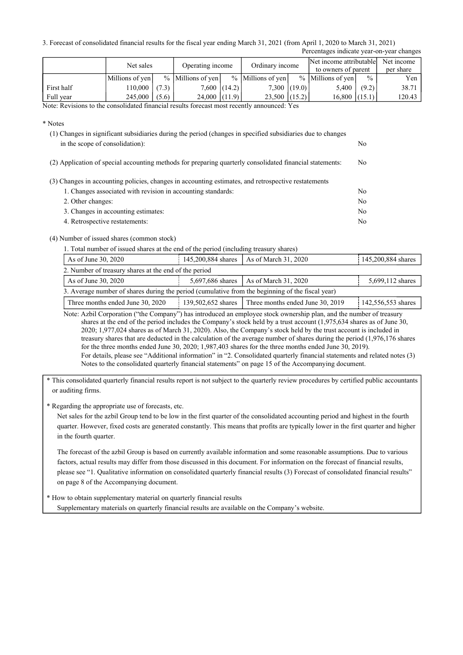3. Forecast of consolidated financial results for the fiscal year ending March 31, 2021 (from April 1, 2020 to March 31, 2021) Percentages indicate year-on-year changes

|            | Net sales       |       | Operating income    |  | Ordinary income     |  | Net income attributable<br>to owners of parent |               | Net income<br>per share |  |
|------------|-----------------|-------|---------------------|--|---------------------|--|------------------------------------------------|---------------|-------------------------|--|
|            | Millions of yen |       | $%$ Millions of yen |  | $%$ Millions of yen |  | $%$ Millions of yen                            | $\frac{0}{0}$ | Yen                     |  |
| First half | 110,000         | (7.3) | $7,600$ $(14.2)$    |  | $7,300$ $(19.0)$    |  | 5,400                                          | (9.2)         | 38.71                   |  |
| Full year  | 245,000         | (5.6) | $24,000$ $(11.9)$   |  | $23,500$ (15.2)     |  | 16,800                                         | (15.1)        | 120.43                  |  |

Note: Revisions to the consolidated financial results forecast most recently announced: Yes

\* Notes

| (1) Changes in significant subsidiaries during the period (changes in specified subsidiaries due to changes |    |
|-------------------------------------------------------------------------------------------------------------|----|
| in the scope of consolidation):                                                                             | No |
| (2) Application of special accounting methods for preparing quarterly consolidated financial statements:    | No |
| (3) Changes in accounting policies, changes in accounting estimates, and retrospective restatements         |    |
| 1. Changes associated with revision in accounting standards:                                                | No |
| 2. Other changes:                                                                                           | No |

| 4. OUIVI VIRIIGVJ.                  | .  |
|-------------------------------------|----|
| 3. Changes in accounting estimates: | Nο |
| 4. Retrospective restatements:      | No |

## (4) Number of issued shares (common stock)

|  |  |  |  | 1. Total number of issued shares at the end of the period (including treasury shares) |  |  |
|--|--|--|--|---------------------------------------------------------------------------------------|--|--|
|  |  |  |  |                                                                                       |  |  |

| As of June 30, 2020                                                                              | 145,200,884 shares                               | As of March 31, 2020             | 145,200,884 shares |  |  |  |  |  |
|--------------------------------------------------------------------------------------------------|--------------------------------------------------|----------------------------------|--------------------|--|--|--|--|--|
| 2. Number of treasury shares at the end of the period                                            |                                                  |                                  |                    |  |  |  |  |  |
| As of June 30, 2020                                                                              | $\vert$ As of March 31, 2020<br>5,697,686 shares |                                  | 5,699,112 shares   |  |  |  |  |  |
| 3. Average number of shares during the period (cumulative from the beginning of the fiscal year) |                                                  |                                  |                    |  |  |  |  |  |
| Three months ended June 30, 2020                                                                 | 139,502,652 shares                               | Three months ended June 30, 2019 | 142,556,553 shares |  |  |  |  |  |

Note: Azbil Corporation ("the Company") has introduced an employee stock ownership plan, and the number of treasury shares at the end of the period includes the Company's stock held by a trust account (1,975,634 shares as of June 30, 2020; 1,977,024 shares as of March 31, 2020). Also, the Company's stock held by the trust account is included in treasury shares that are deducted in the calculation of the average number of shares during the period (1,976,176 shares for the three months ended June 30, 2020; 1,987,403 shares for the three months ended June 30, 2019). For details, please see "Additional information" in "2. Consolidated quarterly financial statements and related notes (3) Notes to the consolidated quarterly financial statements" on page 15 of the Accompanying document.

\* This consolidated quarterly financial results report is not subject to the quarterly review procedures by certified public accountants or auditing firms.

\* Regarding the appropriate use of forecasts, etc.

Net sales for the azbil Group tend to be low in the first quarter of the consolidated accounting period and highest in the fourth quarter. However, fixed costs are generated constantly. This means that profits are typically lower in the first quarter and higher in the fourth quarter.

The forecast of the azbil Group is based on currently available information and some reasonable assumptions. Due to various factors, actual results may differ from those discussed in this document. For information on the forecast of financial results, please see "1. Qualitative information on consolidated quarterly financial results (3) Forecast of consolidated financial results" on page 8 of the Accompanying document.

\* How to obtain supplementary material on quarterly financial results Supplementary materials on quarterly financial results are available on the Company's website.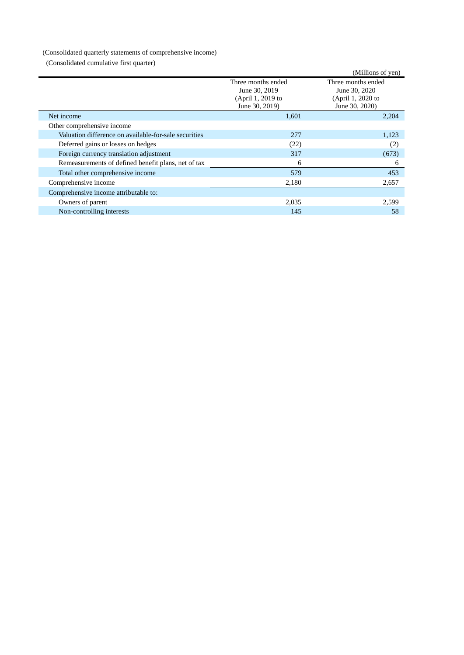## (Consolidated quarterly statements of comprehensive income)

(Consolidated cumulative first quarter)

| $\alpha$ consolidated cumulative that quarter         |                                                                            |                                                                            |
|-------------------------------------------------------|----------------------------------------------------------------------------|----------------------------------------------------------------------------|
|                                                       |                                                                            | (Millions of yen)                                                          |
|                                                       | Three months ended<br>June 30, 2019<br>(April 1, 2019 to<br>June 30, 2019) | Three months ended<br>June 30, 2020<br>(April 1, 2020 to<br>June 30, 2020) |
| Net income                                            | 1,601                                                                      | 2,204                                                                      |
| Other comprehensive income                            |                                                                            |                                                                            |
| Valuation difference on available-for-sale securities | 277                                                                        | 1,123                                                                      |
| Deferred gains or losses on hedges                    | (22)                                                                       | (2)                                                                        |
| Foreign currency translation adjustment               | 317                                                                        | (673)                                                                      |
| Remeasurements of defined benefit plans, net of tax   | 6                                                                          | 6                                                                          |
| Total other comprehensive income                      | 579                                                                        | 453                                                                        |
| Comprehensive income                                  | 2,180                                                                      | 2,657                                                                      |
| Comprehensive income attributable to:                 |                                                                            |                                                                            |
| Owners of parent                                      | 2,035                                                                      | 2,599                                                                      |
| Non-controlling interests                             | 145                                                                        | 58                                                                         |